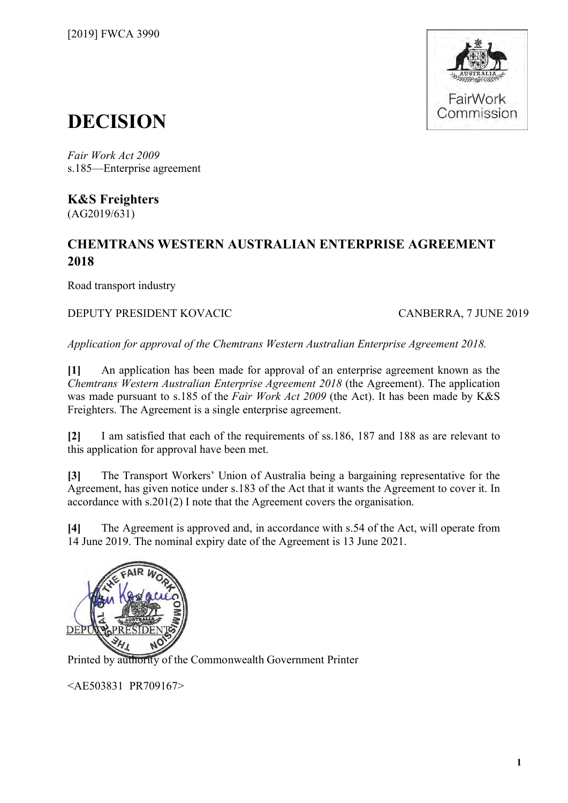

# **DECISION**

*Fair Work Act 2009*  s.185—Enterprise agreement

**K&S Freighters** (AG2019/631)

# **CHEMTRANS WESTERN AUSTRALIAN ENTERPRISE AGREEMENT 2018**

Road transport industry

### DEPUTY PRESIDENT KOVACIC CANBERRA, 7 JUNE 2019

*Application for approval of the Chemtrans Western Australian Enterprise Agreement 2018.*

**[1]** An application has been made for approval of an enterprise agreement known as the *Chemtrans Western Australian Enterprise Agreement 2018* (the Agreement). The application was made pursuant to s.185 of the *Fair Work Act 2009* (the Act). It has been made by K&S Freighters. The Agreement is a single enterprise agreement.

**[2]** I am satisfied that each of the requirements of ss.186, 187 and 188 as are relevant to this application for approval have been met.

**[3]** The Transport Workers' Union of Australia being a bargaining representative for the Agreement, has given notice under s.183 of the Act that it wants the Agreement to cover it. In accordance with s.201(2) I note that the Agreement covers the organisation.

**[4]** The Agreement is approved and, in accordance with s.54 of the Act, will operate from 14 June 2019. The nominal expiry date of the Agreement is 13 June 2021.



Printed by authority of the Commonwealth Government Printer

<AE503831 PR709167>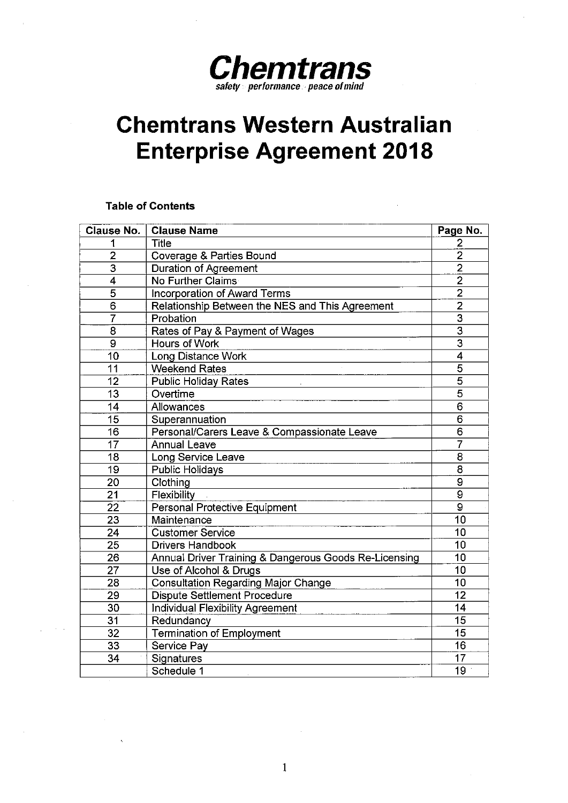

# **Chemtrans Western Australian Enterprise Agreement 2018**

#### **Table of Contents**

| <b>Clause No.</b>         | <b>Clause Name</b>                                     | Page No.        |
|---------------------------|--------------------------------------------------------|-----------------|
| 1                         | <b>Title</b>                                           | 2               |
| $\overline{2}$            | Coverage & Parties Bound                               | $\overline{2}$  |
| $\overline{3}$            | Duration of Agreement                                  | $\overline{2}$  |
| $\overline{\mathbf{4}}$   | <b>No Further Claims</b>                               | $\overline{2}$  |
| $\overline{5}$            | Incorporation of Award Terms                           | $\overline{2}$  |
| 6                         | Relationship Between the NES and This Agreement        | $\overline{2}$  |
| $\overline{\overline{7}}$ | Probation                                              | $\overline{3}$  |
| 8                         | Rates of Pay & Payment of Wages                        | $\overline{3}$  |
| $\overline{9}$            | <b>Hours of Work</b>                                   | $\overline{3}$  |
| 10                        | <b>Long Distance Work</b>                              | $\overline{4}$  |
| $\overline{11}$           | <b>Weekend Rates</b>                                   | $\overline{5}$  |
| 12                        | <b>Public Holiday Rates</b>                            | $\overline{5}$  |
| 13                        | Overtime                                               | $\overline{5}$  |
| 14                        | Allowances                                             | $\overline{6}$  |
| 15                        | Superannuation                                         | 6               |
| 16                        | Personal/Carers Leave & Compassionate Leave            | $\overline{6}$  |
| 17                        | <b>Annual Leave</b>                                    |                 |
| 18                        | Long Service Leave                                     |                 |
| 19                        | 8<br><b>Public Holidays</b>                            |                 |
| 20                        | 9<br>Clothing<br>$\overline{9}$                        |                 |
| 21                        | Flexibility                                            |                 |
| $\overline{22}$           | $\overline{9}$<br><b>Personal Protective Equipment</b> |                 |
| 23                        | Maintenance                                            | 10              |
| 24                        | <b>Customer Service</b>                                | $\overline{10}$ |
| 25                        | <b>Drivers Handbook</b>                                | 10              |
| 26                        | Annual Driver Training & Dangerous Goods Re-Licensing  | 10              |
| 27                        | Use of Alcohol & Drugs                                 | 10              |
| 28                        | <b>Consultation Regarding Major Change</b>             | 10              |
| 29                        | <b>Dispute Settlement Procedure</b>                    | 12              |
| 30                        | <b>Individual Flexibility Agreement</b>                | 14              |
| 31                        | Redundancy                                             | 15              |
| 32                        | <b>Termination of Employment</b>                       | 15              |
| 33                        | Service Pay                                            | 16              |
| 34                        | Signatures                                             | 17              |
|                           | Schedule 1                                             | 19              |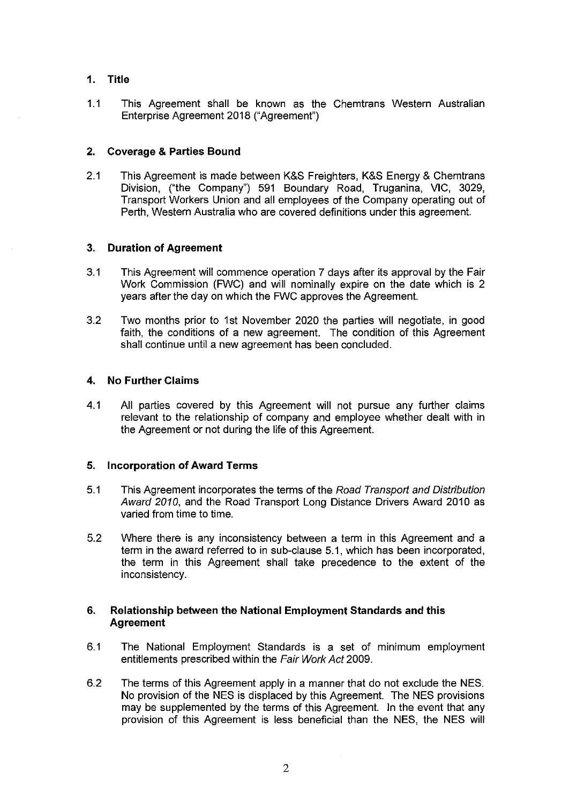#### **1. Title**

1.1 This Agreement shall be known as the Chemtrans Western Australian Enterprise Agreement 2018 ("Agreement")

#### **2. Coverage & Parties Bound**

2.1 This Agreement is made between K&S Freighters, K&S Energy & Chemtrans Division, ("the Company") 591 Boundary Road, Truganina, VIC, 3029, Transport Workers Union and all employees of the Company operating out of Perth, Western Australia who are covered definitions under this agreement.

#### **3. Duration of Agreement**

- 3.1 This Agreement will commence operation 7 days after its approval by the Fair Work Commission (FWC) and will nominally expire on the date which is 2 years after the day on which the FWC approves the Agreement.
- 3.2 Two months prior to 1st November 2020 the parties will negotiate, in good faith, the conditions of a new agreement. The condition of this Agreement shall continue until a new agreement has been concluded.

#### **4. No Further Claims**

4.1 All parties covered by this Agreement will not pursue any further claims relevant to the relationship of company and employee whether dealt with in the Agreement or not during the life of this Agreement.

#### **5. Incorporation of Award Terms**

- 5.1 This Agreement incorporates the terms of the Road Transport and Distribution Award 2010, and the Road Transport Long Distance Drivers Award 2010 as varied from time to time.
- 5.2 Where there is any inconsistency between a term in this Agreement and a term in the award referred to in sub-clause 5.1, which has been incorporated, the term in this Agreement shall take precedence to the extent of the inconsistency.

#### **6. Relationship between the National Employment Standards and this Agreement**

- 6.1 The National Employment Standards is a set of minimum employment entitlements prescribed within the Fair Work Act 2009.
- 6.2 The terms of this Agreement apply in a manner that do not exclude the NES. No provision of the NES is displaced by this Agreement. The NES provisions may be supplemented by the terms of this Agreement. In the event that any provision of this Agreement is less beneficial than the NES, the NES will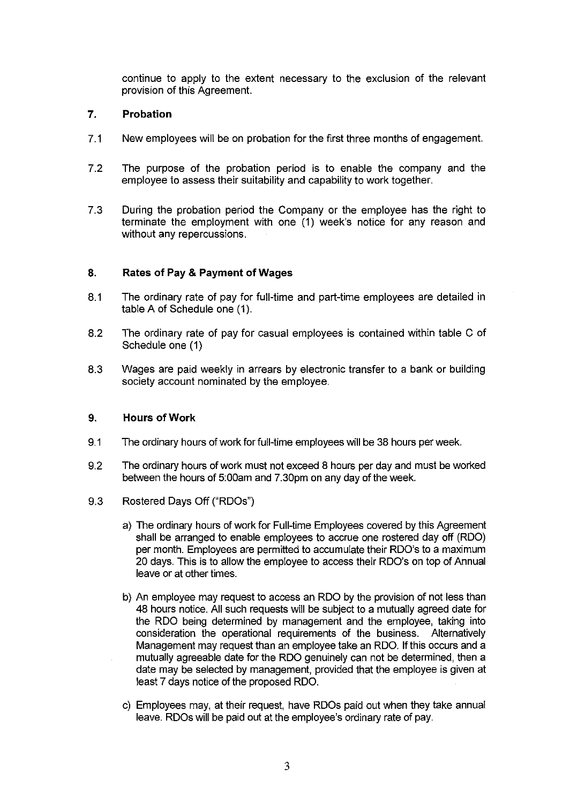continue to apply to the extent necessary to the exclusion of the relevant provision of this Agreement.

#### **7. Probation**

- 7.1 New employees will be on probation for the first three months of engagement.
- 7.2 The purpose of the probation period is to enable the company and the employee to assess their suitability and capability to work together.
- 7.3 During the probation period the Company or the employee has the right to terminate the employment with one (1) week's notice for any reason and without any repercussions.

#### **8. Rates of Pay & Payment of Wages**

- 8.1 The ordinary rate of pay for full-time and part-time employees are detailed in table A of Schedule one (1).
- 8.2 The ordinary rate of pay for casual employees is contained within table C of Schedule one (1)
- 8.3 Wages are paid weekly in arrears by electronic transfer to a bank or building society account nominated by the employee.

#### **9. Hours of Work**

- 9.1 The ordinary hours of work for full-time employees will be 38 hours per week.
- 9.2 The ordinary hours of work must not exceed 8 hours per day and must be worked between the hours of 5:00am and 7.30pm on any day of the week.
- 9.3 Rostered Days Off ("RDOs")
	- a) The ordinary hours of work for Full-time Employees covered by this Agreement shall be arranged to enable employees to accrue one rostered day off (RDO) per month. Employees are permitted to accumulate their ROO's to a maximum 20 days. This is to allow the employee to access their ROO's on top of Annual leave or at other times.
	- b) An employee may request to access an RDO by the provision of not less than 48 hours notice. All such requests will be subject to a mutually agreed date for the RDO being determined by management and the employee, taking into consideration the operational requirements of the business. Alternatively Management may request than an employee take an RDO. If this occurs and a mutually agreeable date for the RDO genuinely can not be determined, then a date may be selected by management, provided that the employee is given at least 7 days notice of the proposed RDO.
	- c) Employees may, at their request, have RDOs paid out when they take annual leave. RDOs will be paid out at the employee's ordinary rate of pay.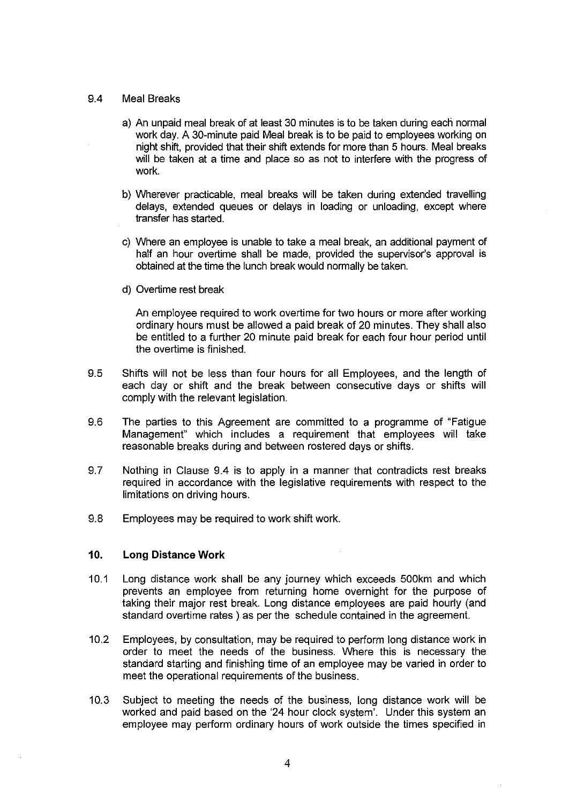#### 9.4 Meal Breaks

- a) An unpaid meal break of at least 30 minutes is to be taken during each normal work day. A 30-minute paid Meal break is to be paid to employees working on night shift, provided that their shift extends for more than 5 hours. Meal breaks will be taken at a time and place so as not to interfere with the progress of work.
- b) Wherever practicable, meal breaks will be taken during extended travelling delays, extended queues or delays in loading or unloading, except where transfer has started.
- c) Where an employee is unable to take a meal break, an additional payment of half an hour overtime shall be made, provided the supervisor's approval is obtained at the time the lunch break would normally be taken.
- d) Overtime rest break

An employee required to work overtime for two hours or more after working ordinary hours must be allowed a paid break of 20 minutes. They shall also be entitled to a further 20 minute paid break for each four hour period until the overtime is finished.

- 9.5 Shifts will not be less than four hours for all Employees, and the length of each day or shift and the break between consecutive days or shifts will comply with the relevant legislation.
- 9.6 The parties to this Agreement are committed to a programme of "Fatigue Management" which includes a requirement that employees will take reasonable breaks during and between rostered days or shifts.
- 9.7 Nothing in Clause 9.4 is to apply in a manner that contradicts rest breaks required in accordance with the legislative requirements with respect to the limitations on driving hours.
- 9.8 Employees may be required to work shift work.

#### **10. Long Distance Work**

- 10.1 Long distance work shall be any journey which exceeds 500km and which prevents an employee from returning home overnight for the purpose of taking their major rest break. Long distance employees are paid hourly (and standard overtime rates ) as per the schedule contained in the agreement.
- 10.2 Employees, by consultation, may be required to perform long distance work in order to meet the needs of the business. Where this is necessary the standard starting and finishing time of an employee may be varied in order to meet the operational requirements of the business.
- 10.3 Subject to meeting the needs of the business, long distance work will be worked and paid based on the '24 hour clock system'. Under this system an employee may perform ordinary hours of work outside the times specified in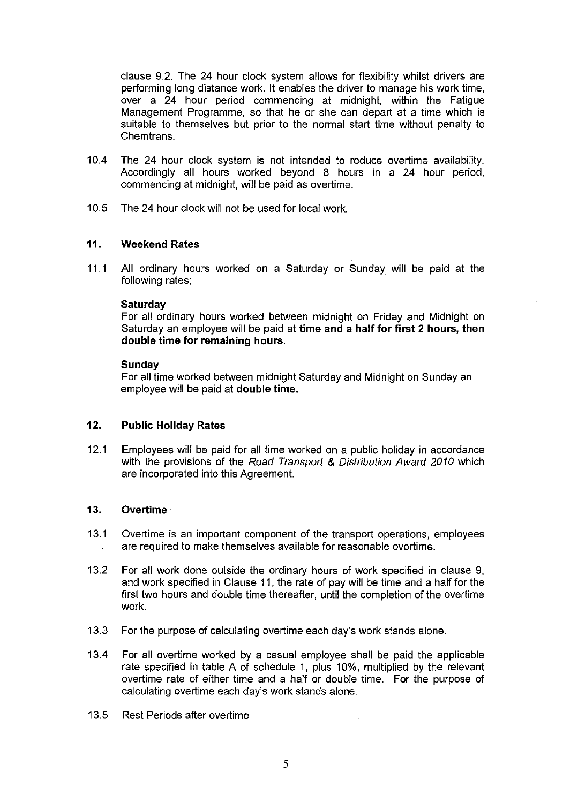clause 9.2. The 24 hour clock system allows for flexibility whilst drivers are performing long distance work. It enables the driver to manage his work time, over a 24 hour period commencing at midnight, within the Fatigue Management Programme, so that he or she can depart at a time which is suitable to themselves but prior to the normal start time without penalty to Chemtrans.

- 10.4 The 24 hour clock system is not intended to reduce overtime availability. Accordingly all hours worked beyond 8 hours in a 24 hour period, commencing at midnight, will be paid as overtime.
- 10.5 The 24 hour clock will not be used for local work.

#### **11. Weekend Rates**

11.1 All ordinary hours worked on a Saturday or Sunday will be paid at the following rates;

#### **Saturday**

For all ordinary hours worked between midnight on Friday and Midnight on Saturday an employee will be paid at **time and a half for first 2 hours, then double time for remaining hours.** 

#### **Sunday**

For all time worked between midnight Saturday and Midnight on Sunday an employee will be paid at **double time.** 

#### **12. Public Holiday Rates**

12.1 Employees will be paid for all time worked on a public holiday in accordance with the provisions of the Road Transport & Distribution Award 2010 which are incorporated into this Agreement.

#### **13. Overtime**

- 13.1 Overtime is an important component of the transport operations, employees are required to make themselves available for reasonable overtime.
- 13.2 For all work done outside the ordinary hours of work specified in clause 9, and work specified in Clause 11, the rate of pay will be time and a half for the first two hours and double time thereafter, until the completion of the overtime work.
- 13.3 For the purpose of calculating overtime each day's work stands alone.
- 13.4 For all overtime worked by a casual employee shall be paid the applicable rate specified in table A of schedule 1, plus 10%, multiplied by the relevant overtime rate of either time and a half or double time. For the purpose of calculating overtime each day's work stands alone.
- 13.5 Rest Periods after overtime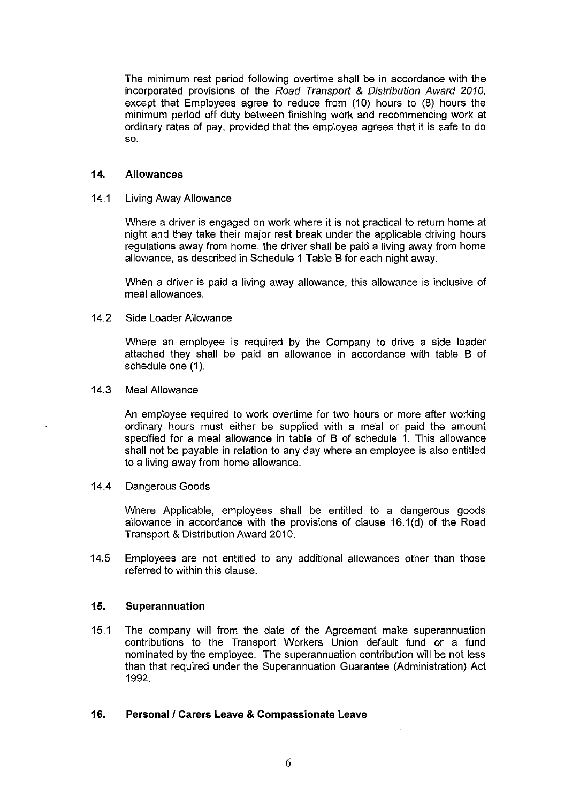The minimum rest period following overtime shall be in accordance with the incorporated provisions of the Road Transport & Distribution Award 2010, except that Employees agree to reduce from  $(10)$  hours to  $(8)$  hours the minimum period off duty between finishing work and recommencing work at ordinary rates of pay, provided that the employee agrees that it is safe to do so.

#### **14. Allowances**

#### 14.1 Living Away Allowance

Where a driver is engaged on work where it is not practical to return home at night and they take their major rest break under the applicable driving hours regulations away from home, the driver shall be paid a living away from home allowance, as described in Schedule 1 Table B for each night away.

When a driver is paid a living away allowance, this allowance is inclusive of meal allowances.

#### 14.2 Side Loader Allowance

Where an employee is required by the Company to drive a side loader attached they shall be paid an allowance in accordance with table B of schedule one (1).

#### 14.3 Meal Allowance

An employee required to work overtime for two hours or more after working ordinary hours must either be supplied with a meal or paid the amount specified for a meal allowance in table of B of schedule 1. This allowance shall not be payable in relation to any day where an employee is also entitled to a living away from home allowance.

#### 14.4 Dangerous Goods

Where Applicable, employees shall be entitled to a dangerous goods allowance in accordance with the provisions of clause 16.1(d) of the Road Transport & Distribution Award 2010.

14.5 Employees are not entitled to any additional allowances other than those referred to within this clause.

#### **15. Superannuation**

15.1 The company will from the date of the Agreement make superannuation contributions to the Transport Workers Union default fund or a fund nominated by the employee. The superannuation contribution will be not less than that required under the Superannuation Guarantee (Administration) Act 1992.

#### **16. Personal/ Carers Leave & Compassionate Leave**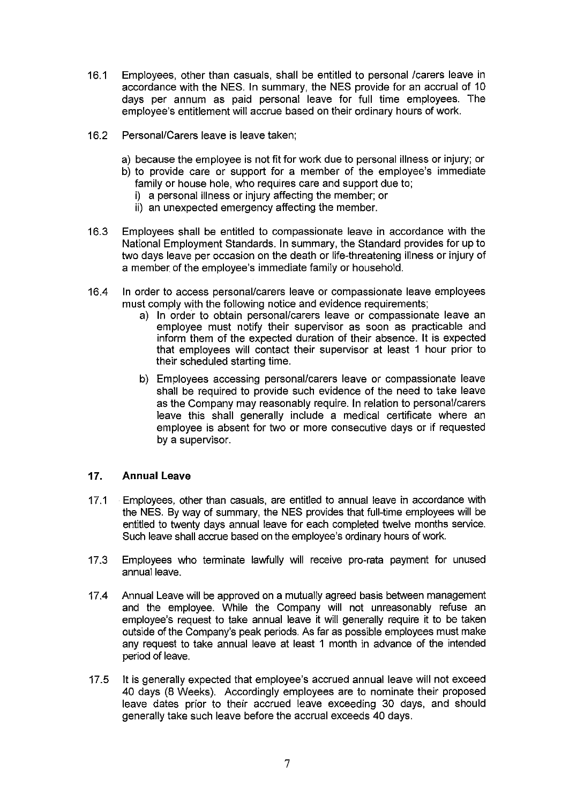- 16.1 Employees, other than casuals, shall be entitled to personal /carers leave in accordance with the NES. In summary, the NES provide for an accrual of 10 days per annum as paid personal leave for full time employees. The employee's entitlement will accrue based on their ordinary hours of work.
- 16.2 Personal/Carers leave is leave taken;
	- a) because the employee is not fit for work due to personal illness or injury; or
	- b) to provide care or support for a member of the employee's immediate family or house hole, who requires care and support due to; i) a personal illness or injury affecting the member; or
		-
		- ii) an unexpected emergency affecting the member.
- 16.3 Employees shall be entitled to compassionate leave in accordance with the National Employment Standards. In summary, the Standard provides for up to two days leave per occasion on the death or life-threatening illness or injury of a member of the employee's immediate family or household.
- 16.4 In order to access personal/carers leave or compassionate leave employees must comply with the following notice and evidence requirements;
	- a) In order to obtain personal/carers leave or compassionate leave an employee must notify their supervisor as soon as practicable and inform them of the expected duration of their absence. It is expected that employees will contact their supervisor at least 1 hour prior to their scheduled starting time.
	- b) Employees accessing personal/carers leave or compassionate leave shall be required to provide such evidence of the need to take leave as the Company may reasonably require. In relation to personal/carers leave this shall generally include a medical certificate where an employee is absent for two or more consecutive days or if requested by a supervisor.

### **17. Annual Leave**

- 17.1 Employees, other than casuals, are entitled to annual leave in accordance with the NES. By way of summary, the NES provides that full-time employees will be entitled to twenty days annual leave for each completed twelve months service. Such leave shall accrue based on the employee's ordinary hours of work.
- 17.3 Employees who terminate lawfully will receive pro-rata payment for unused annual leave.
- 17.4 Annual Leave will be approved on a mutually agreed basis between management and the employee. While the Company will not unreasonably refuse an employee's request to take annual leave it will generally require it to be taken outside ofthe Company's peak periods. As far as possible employees must make any request to take annual leave at least 1 month in advance of the intended period of leave.
- 17.5 It is generally expected that employee's accrued annual leave will not exceed 40 days (8 Weeks). Accordingly employees are to nominate their proposed leave dates prior to their accrued leave exceeding 30 days, and should generally take such leave before the accrual exceeds 40 days.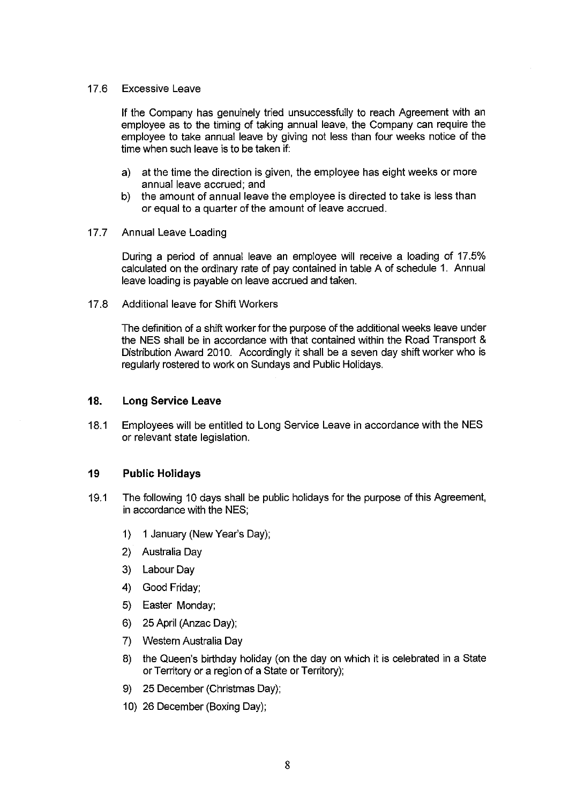#### 17.6 Excessive Leave

If the Company has genuinely tried unsuccessfully to reach Agreement with an employee as to the timing of taking annual leave, the Company can require the employee to take annual leave by giving not less than four weeks notice of the time when such leave is to be taken if:

- a) at the time the direction is given, the employee has eight weeks or more annual leave accrued; and
- b) the amount of annual leave the employee is directed to take is less than or equal to a quarter of the amount of leave accrued.

#### 17.7 Annual Leave Loading

During a period of annual leave an employee will receive a loading of 17.5% calculated on the ordinary rate of pay contained in table A of schedule 1. Annual leave loading is payable on leave accrued and taken.

17.8 Additional leave for Shift Workers

The definition of a shift worker for the purpose of the additional weeks leave under the NES shall be in accordance with that contained within the Road Transport & Distribution Award 2010. Accordingly it shall be a seven day shift worker who is regularly rostered to work on Sundays and Public Holidays.

#### **18. Long Service Leave**

18.1 Employees will be entitled to Long Service Leave in accordance with the NES or relevant state legislation.

#### **19 Public Holidays**

- 19.1 The following 10 days shall be public holidays for the purpose of this Agreement, in accordance with the NES;
	- 1) 1 January (New Year's Day);
	- 2) Australia Day
	- 3) Labour Day
	- 4) Good Friday;
	- 5) Easter Monday;
	- 6) 25 April (Anzac Day);
	- 7) Western Australia Day
	- 8) the Queen's birthday holiday (on the day on which it is celebrated in a State or Territory or a region of a State or Territory);
	- 9) 25 December (Christmas Day);
	- 10) 26 December (Boxing Day);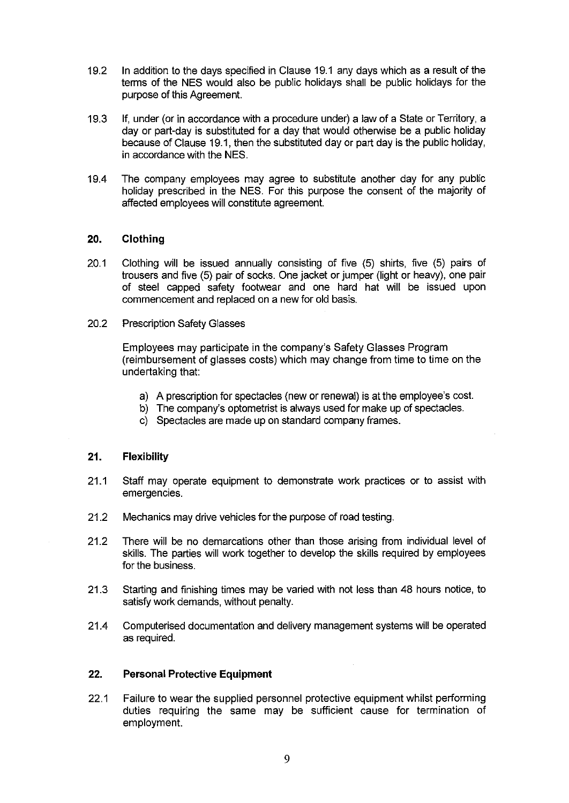- 19.2 In addition to the days specified in Clause 19.1 any days which as a result of the tenns of the NES would also be public holidays shall be public holidays for the purpose of this Agreement.
- 19.3 If, under (or in accordance with a procedure under) a law of a State or Territory, a day or part-day is substituted for a day that would otherwise be a public holiday because of Clause 19.1, then the substituted day or part day is the public holiday, in accordance with the NES.
- 19.4 The company employees may agree to substitute another day for any public holiday prescribed in the NES. For this purpose the consent of the majority of affected employees will constitute agreement.

#### **20. Clothing**

- 20.1 Clothing will be issued annually consisting of five (5) shirts, five (5) pairs of trousers and five (5) pair of socks. One jacket or jumper (light or heavy), one pair of steel capped safety footwear and one hard hat will be issued upon commencement and replaced on a new for old basis.
- 20.2 Prescription Safety Glasses

Employees may participate in the company's Safety Glasses Program (reimbursement of glasses costs) which may change from time to time on the undertaking that:

- a) A prescription for spectacles (new or renewal) is at the employee's cost.
- b) The company's optometrist is always used for make up of spectacles.
- c) Spectacles are made up on standard company frames.

#### **21. Flexibility**

- 21.1 Staff may operate equipment to demonstrate work practices or to assist with emergencies.
- 21.2 Mechanics may drive vehicles for the purpose of road testing.
- 21.2 There will be no demarcations other than those arising from individual level of skills. The parties will work together to develop the skills required by employees for the business.
- 21.3 Starting and finishing times may be varied with not less than 48 hours notice, to satisfy work demands, without penalty.
- 21.4 Computerised documentation and delivery management systems will be operated as required.

#### **22. Personal Protective Equipment**

22.1 Failure to wear the supplied personnel protective equipment whilst performing duties requiring the same may be sufficient cause for termination of employment.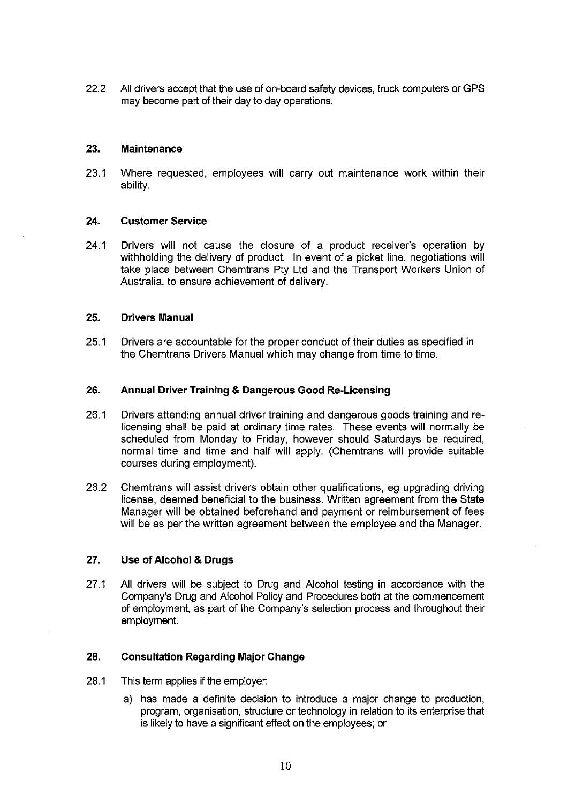22.2 All drivers accept that the use of on-board safety devices, truck computers or GPS may become part of their day to day operations.

#### **23. Maintenance**

23.1 Where requested, employees will carry out maintenance work within their ability.

#### **24. Customer Service**

24.1 Drivers will not cause the closure of a product receiver's operation by withholding the delivery of product. In event of a picket line, negotiations will take place between Chemtrans Pty Ltd and the Transport Workers Union of Australia, to ensure achievement of delivery.

#### **25. Drivers Manual**

25.1 Drivers are accountable for the proper conduct of their duties as specified in the Chemtrans Drivers Manual which may change from time to time.

#### **26. Annual Driver Training & Dangerous Good Re-Licensing**

- 26.1 Drivers attending annual driver training and dangerous goods training and relicensing shall be paid at ordinary time rates. These events will normally be scheduled from Monday to Friday, however should Saturdays be required, normal time and time and half will apply. (Chemtrans will provide suitable courses during employment).
- 26.2 Chemtrans will assist drivers obtain other qualifications, eg upgrading driving license, deemed beneficial to the business. Written agreement from the State Manager will be obtained beforehand and payment or reimbursement of fees will be as per the written agreement between the employee and the Manager.

#### **27. Use of Alcohol & Drugs**

27.1 All drivers will be subject to Drug and Alcohol testing in accordance with the Company's Drug and Alcohol Policy and Procedures both at the commencement of employment, as part of the Company's selection process and throughout their employment.

#### **28. Consultation Regarding Major Change**

- 28.1 This term applies if the employer:
	- a) has made a definite decision to introduce a major change to production, program, organisation, structure or technology in relation to its enterprise that is likely to have a significant effect on the employees; or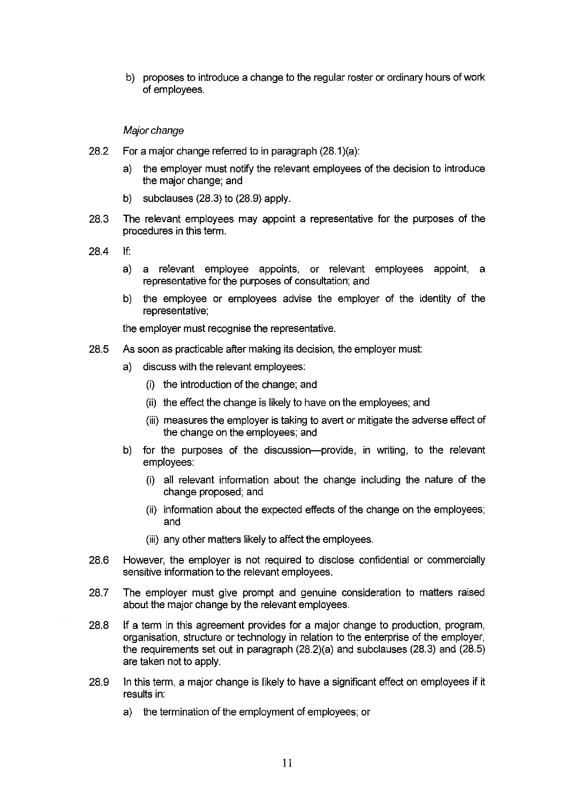b) proposes to introduce a change to the regular roster or ordinary hours of work of employees.

#### Major change

- 28.2 For a major change referred to in paragraph (28.1 ){a):
	- a) the employer must notify the relevant employees of the decision to introduce the major change; and
	- b) subclauses (28.3) to (28.9) apply.
- 28.3 The relevant employees may appoint a representative for the purposes of the procedures in this term.
- 28.4 If:
	- a) a relevant employee appoints, or relevant employees appoint, a representative for the purposes of consultation; and
	- b) the employee or employees advise the employer of the identity of the representative;

the employer must recognise the representative.

- 28.5 As soon as practicable after making its decision, the employer must:
	- a) discuss with the relevant employees:
		- (i) the introduction of the change; and
		- (ii) the effect the change is likely to have on the employees; and
		- (iii) measures the employer is taking to avert or mitigate the adverse effect of the change on the employees; and
	- b) for the purposes of the discussion--provide, in writing, to the relevant employees:
		- (i) all relevant information about the change including the nature of the change proposed; and
		- (ii) information about the expected effects of the change on the employees; and
		- (iii) any other matters likely to affect the employees.
- 28.6 However, the employer is not required to disclose confidential or commercially sensitive information to the relevant employees.
- 28.7 The employer must give prompt and genuine consideration to matters raised about the major change by the relevant employees.
- 28.8 If a term in this agreement provides for a major change to production, program, organisation, structure or technology in relation to the enterprise of the employer, the requirements set out in paragraph (28.2)(a) and subclauses (28.3) and (28.5) are taken not to apply.
- 28.9 In this term, a major change is likely to have a significant effect on employees if it results in:
	- a) the termination of the employment of employees; or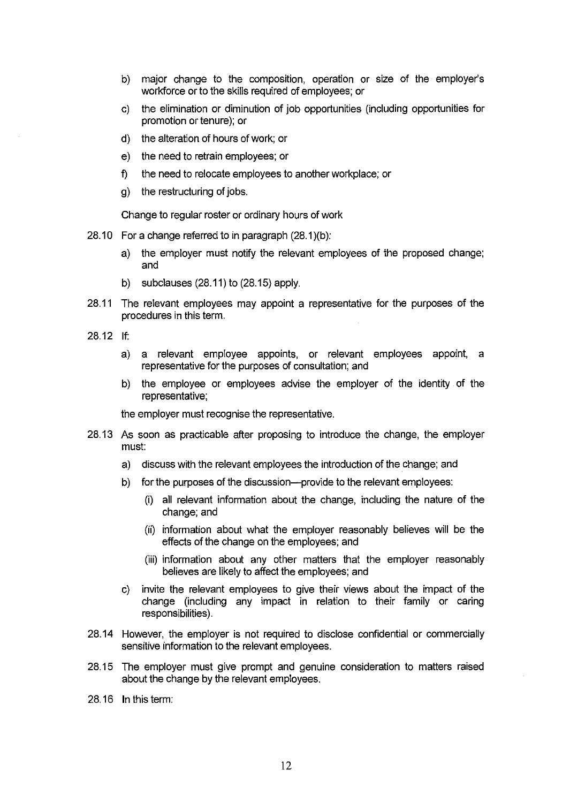- b) major change to the composition, operation or size of the employer's workforce or to the skills required of employees; or
- c) the elimination or diminution of job opportunities (including opportunities for promotion or tenure); or
- d) the alteration of hours of work; or
- e) the need to retrain employees; or
- f) the need to relocate employees to another workplace; or
- g) the restructuring of jobs.

Change to regular roster or ordinary hours of work

- 28.10 For a change referred to in paragraph  $(28.1)(b)$ :
	- a) the employer must notify the relevant employees of the proposed change; and
	- b) subclauses (28.11) to (28.15) apply.
- 28.11 The relevant employees may appoint a representative for the purposes of the procedures in this term.
- 28.12 If:
	- a) a relevant employee appoints, or relevant employees appoint, a representative for the purposes of consultation; and
	- b) the employee or employees advise the employer of the identity of the representative;

the employer must recognise the representative.

- 28.13 As soon as practicable after proposing to introduce the change, the employer must:
	- a) discuss with the relevant employees the introduction of the change; and
	- b) for the purposes of the discussion--provide to the relevant employees:
		- (i) all relevant information about the change, including the nature of the change; and
		- (ii) information about what the employer reasonably believes will be the effects of the change on the employees; and
		- (iii) information about any other matters that the employer reasonably believes are likely to affect the employees; and
	- c) invite the relevant employees to give their views about the impact of the change (including any impact in relation to their family or caring responsibilities).
- 28.14 However, the employer is not required to disclose confidential or commercially sensitive information to the relevant employees.
- 28.15 The employer must give prompt and genuine consideration to matters raised about the change by the relevant employees.
- 28. 16 In this term: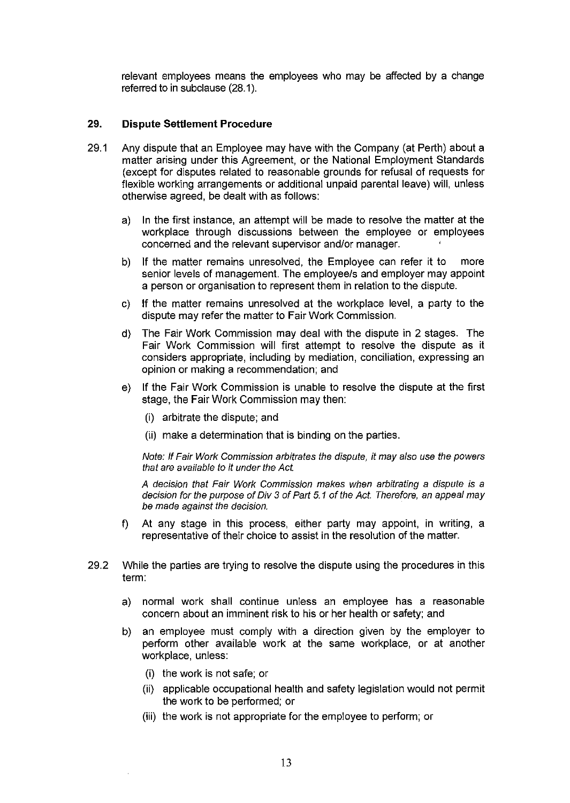relevant employees means the employees who may be affected by a change referred to in subclause (28.1 ).

#### 29. **Dispute Settlement Procedure**

- 29.1 Any dispute that an Employee may have with the Company (at Perth) about a matter arising under this Agreement, or the National Employment Standards (except for disputes related to reasonable grounds for refusal of requests for flexible working arrangements or additional unpaid parental leave) will, unless otherwise agreed, be dealt with as follows:
	- a) In the first instance, an attempt will be made to resolve the matter at the workplace through discussions between the employee or employees concerned and the relevant supervisor and/or manager.
	- b) If the matter remains unresolved, the Employee can refer it to more senior levels of management. The employee/s and employer may appoint a person or organisation to represent them in relation to the dispute.
	- c) If the matter remains unresolved at the workplace level, a party to the dispute may refer the matter to Fair Work Commission.
	- d) The Fair Work Commission may deal with the dispute in 2 stages. The Fair Work Commission will first attempt to resolve the dispute as it considers appropriate, including by mediation, conciliation, expressing an opinion or making a recommendation; and
	- e) If the Fair Work Commission is unable to resolve the dispute at the first stage, the Fair Work Commission may then:
		- (i) arbitrate the dispute; and
		- (ii) make a determination that is binding on the parties.

Note: If Fair Work Commission arbitrates the dispute, it may a/so use the powers that are available to it under the Act.

A decision that Fair Work Commission makes when arbitrating a dispute is a decision for the purpose of Div 3 of Part 5. 1 of the Act. Therefore, an appeal may be made against the decision.

- f) At any stage in this process, either party may appoint, in writing, a representative of their choice to assist in the resolution of the matter.
- 29.2 While the parties are trying to resolve the dispute using the procedures in this term:
	- a) normal work shall continue unless an employee has a reasonable concern about an imminent risk to his or her health or safety; and
	- b) an employee must comply with a direction given by the employer to perform other available work at the same workplace, or at another workplace, unless:
		- (i) the work is not safe; or
		- (ii) applicable occupational health and safety legislation would not permit the work to be performed; or
		- (iii) the work is not appropriate for the employee to perform; or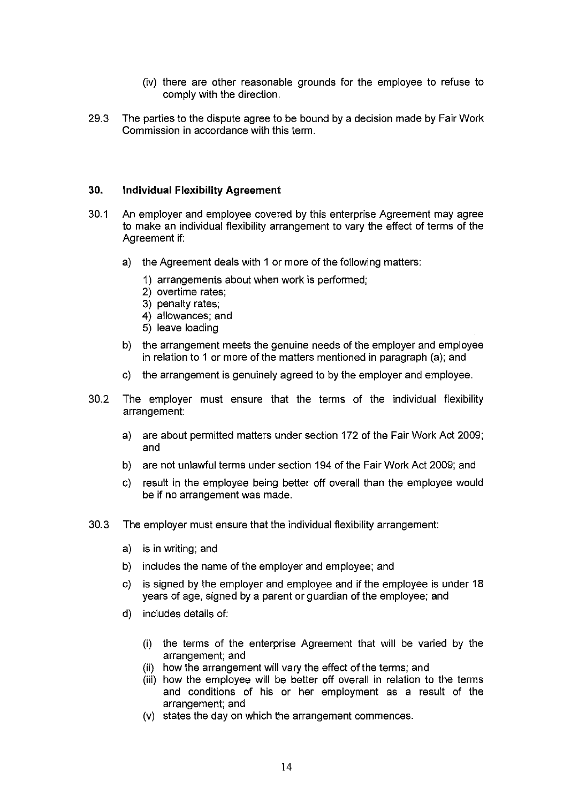- (iv) there are other reasonable grounds for the employee to refuse to comply with the direction.
- 29.3 The parties to the dispute agree to be bound by a decision made by Fair Work Commission in accordance with this term.

#### **30. Individual Flexibility Agreement**

- 30.1 An employer and employee covered by this enterprise Agreement may agree to make an individual flexibility arrangement to vary the effect of terms of the Agreement if:
	- a) the Agreement deals with 1 or more of the following matters:
		- 1) arrangements about when work is performed;
		- 2) overtime rates;
		- 3) penalty rates;
		- 4) allowances; and
		- 5) leave loading
	- b) the arrangement meets the genuine needs of the employer and employee in relation to 1 or more of the matters mentioned in paragraph (a); and
	- c) the arrangement is genuinely agreed to by the employer and employee.
- 30.2 The employer must ensure that the terms of the individual flexibility arrangement:
	- a) are about permitted matters under section 172 of the Fair Work Act 2009; and
	- b) are not unlawful terms under section 194 of the Fair Work Act 2009; and
	- c) result in the employee being better off overall than the employee would be if no arrangement was made.
- 30.3 The employer must ensure that the individual flexibility arrangement:
	- a) is in writing; and
	- b) includes the name of the employer and employee; and
	- c) is signed by the employer and employee and if the employee is under 18 years of age, signed by a parent or guardian of the employee; and
	- d) includes details of:
		- (i) the terms of the enterprise Agreement that will be varied by the arrangement; and
		- (ii) how the arrangement will vary the effect of the terms; and
		- (iii) how the employee will be better off overall in relation to the terms and conditions of his or her employment as a result of the arrangement; and
		- (v) states the day on which the arrangement commences.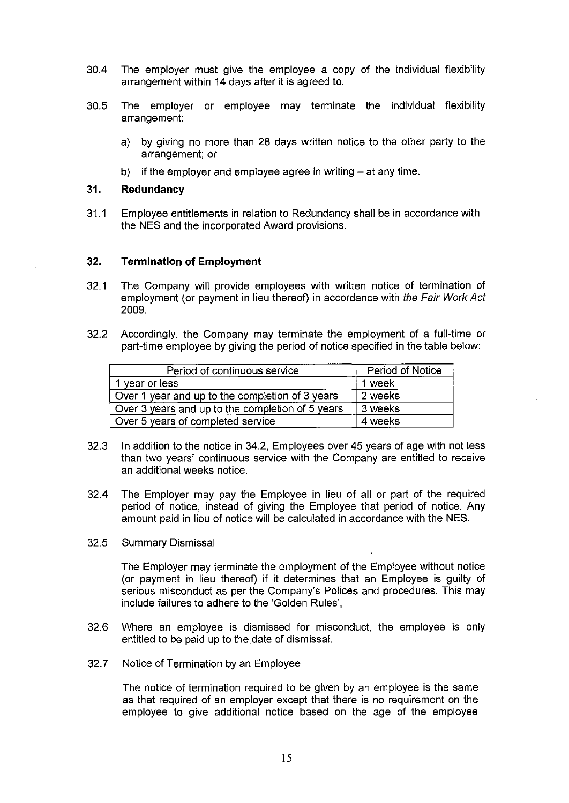- 30.4 The employer must give the employee a copy of the individual flexibility arrangement within 14 days after it is agreed to.
- 30.5 The employer or employee may terminate the individual flexibility arrangement:
	- a) by giving no more than 28 days written notice to the other party to the arrangement; or
	- b) if the employer and employee agree in writing  $-$  at any time.

#### **31. Redundancy**

31.1 Employee entitlements in relation to Redundancy shall be in accordance with the NES and the incorporated Award provisions.

#### 32. **Termination of Employment**

- 32.1 The Company will provide employees with written notice of termination of employment (or payment in lieu thereof) in accordance with the Fair Work Act 2009.
- 32.2 Accordingly, the Company may terminate the employment of a full-time or part-time employee by giving the period of notice specified in the table below:

| Period of continuous service                     | Period of Notice |
|--------------------------------------------------|------------------|
| 1 year or less                                   | 1 week           |
| Over 1 year and up to the completion of 3 years  | 2 weeks          |
| Over 3 years and up to the completion of 5 years | 3 weeks          |
| Over 5 years of completed service                | 4 weeks          |

- 32.3 In addition to the notice in 34.2, Employees over 45 years of age with not less than two years' continuous service with the Company are entitled to receive an additional weeks notice.
- 32.4 The Employer may pay the Employee in lieu of all or part of the required period of notice, instead of giving the Employee that period of notice. Any amount paid in lieu of notice will be calculated in accordance with the NES.
- 32.5 Summary Dismissal

The Employer may terminate the employment of the Employee without notice (or payment in lieu thereof) if it determines that an Employee is guilty of serious misconduct as per the Company's Polices and procedures. This may include failures to adhere to the 'Golden Rules',

- 32.6 Where an employee is dismissed for misconduct, the employee is only entitled to be paid up to the date of dismissal.
- 32.7 Notice of Termination by an Employee

The notice of termination required to be given by an employee is the same as that required of an employer except that there is no requirement on the employee to give additional notice based on the age of the employee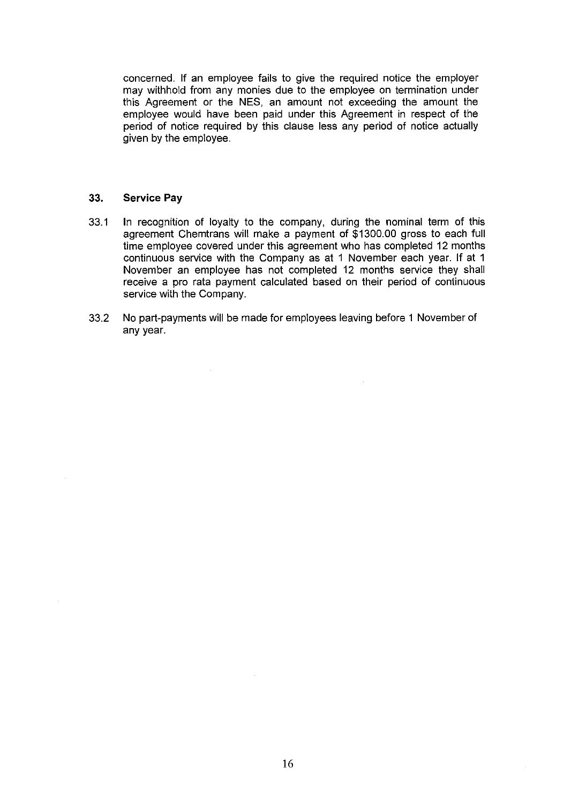concerned. If an employee fails to give the required notice the employer may withhold from any monies due to the employee on termination under this Agreement or the NES, an amount not exceeding the amount the employee would have been paid under this Agreement in respect of the period of notice required by this clause less any period of notice actually given by the employee.

#### 33. **Service Pay**

- 33.1 In recognition of loyalty to the company, during the nominal term of this agreement Chemtrans will make a payment of \$1300.00 gross to each full time employee covered under this agreement who has completed 12 months continuous service with the Company as at 1 November each year. If at 1 November an employee has not completed 12 months service they shall receive a pro rata payment calculated based on their period of continuous service with the Company.
- 33.2 No part-payments will be made for employees leaving before 1 November of any year.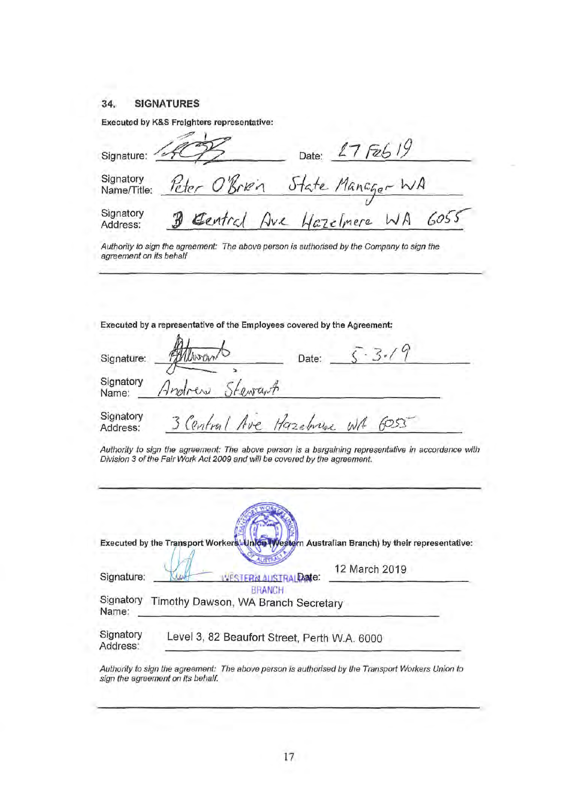#### **34. SIGNATURES**

п.

|                          | Executed by K&S Freighters representative: |
|--------------------------|--------------------------------------------|
| Signature:               | 17F2619<br>Date:                           |
| Signatory<br>Name/Title: | Peter O'Bren State Manager WA              |
| Signatory<br>Address:    | B Gentral Ave Hazelmere WA 6055            |

Authority to sign the agreement: The above person is authorised by the Company to sign the agreement on its behalf

Executed by a representative of the Employees covered by the Agreement:

| Signature:            | MANONO                     | Date: |
|-----------------------|----------------------------|-------|
| Signatory<br>Name:    | Andrew<br>Stewart          |       |
| Signatory<br>Address: | 3 Central Ave Hazebrune WA | 6053  |

Authority to sign the agreement: The above person is a bargaining representative in accordance with Division 3 of the Fair Work Act 2009 and will be covered by the agreement.

|                       | Executed by the Transport Workers Linion (Western Australian Branch) by their representative: |
|-----------------------|-----------------------------------------------------------------------------------------------|
| Signature:            | 12 March 2019<br><b>VESTERN AUSTRAL Date:</b>                                                 |
| Signatory<br>Name:    | <b>BRANCH</b><br>Timothy Dawson, WA Branch Secretary                                          |
| Signatory<br>Address: | Level 3, 82 Beaufort Street, Perth W.A. 6000                                                  |

Authority to sign the agreement: The above person is authorised by the Transport Workers Union to sign the agreement on its behalf.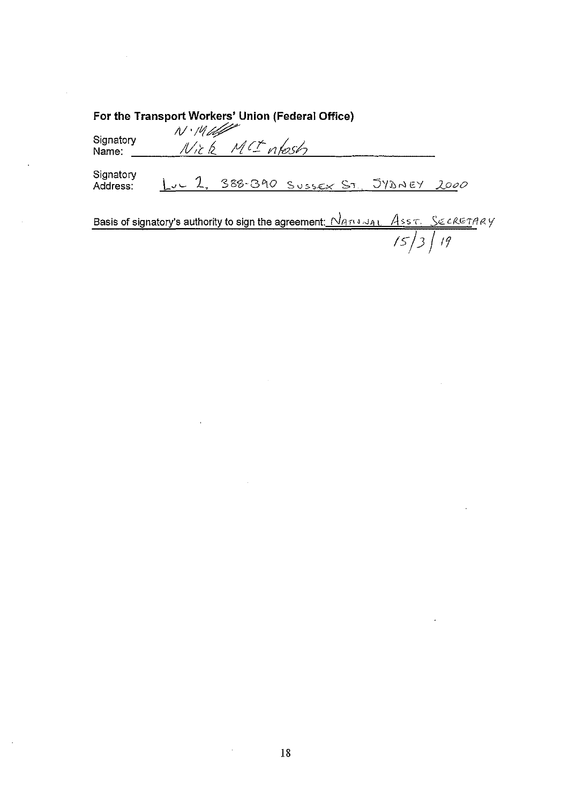| For the Transport Workers' Union (Federal Office)<br>$N.14$ lette |  |               |                                       |                                 |
|-------------------------------------------------------------------|--|---------------|---------------------------------------|---------------------------------|
| Signatory<br>Name:                                                |  | Nick MCIntest |                                       |                                 |
| Signatory<br>Address:                                             |  |               | Luc 2, 388-390 SUSSEX ST. 548NEY 2000 |                                 |
|                                                                   |  |               |                                       | $P = \{x_1, x_2, \ldots, x_n\}$ |

 $\sim$ 

 $\bar{z}$ 

 $\ddot{\phantom{0}}$ 

 $\sim$ 

Basis of signatory's authority to sign the agreement<u>: *Nano Jac Ass c. Secrement*</u> rsjJ *J tf* 

 $\hat{\mathbf{r}}$ 

 $\mathcal{A}^{\mathcal{A}}$ 

 $\bar{\mathcal{A}}$ 

 $\mathcal{A}$ 

 $\sim$